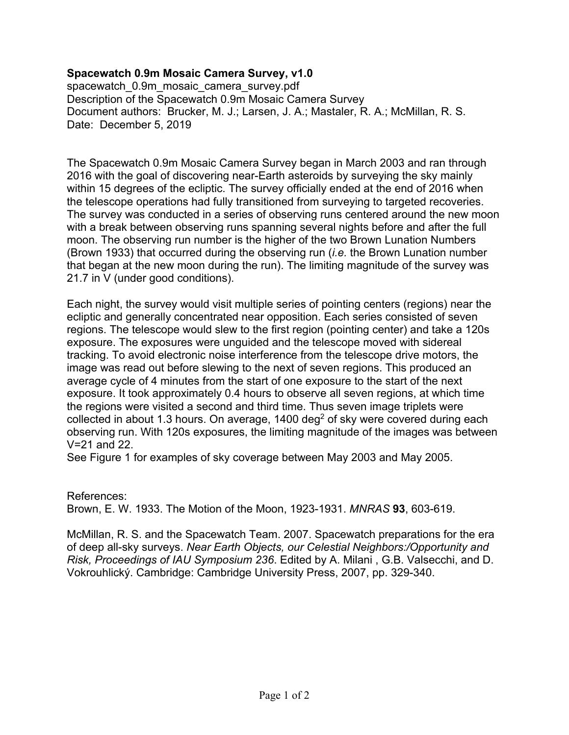## **Spacewatch 0.9m Mosaic Camera Survey, v1.0**

spacewatch\_0.9m\_mosaic\_camera\_survey.pdf Description of the Spacewatch 0.9m Mosaic Camera Survey Document authors: Brucker, M. J.; Larsen, J. A.; Mastaler, R. A.; McMillan, R. S. Date: December 5, 2019

The Spacewatch 0.9m Mosaic Camera Survey began in March 2003 and ran through 2016 with the goal of discovering near-Earth asteroids by surveying the sky mainly within 15 degrees of the ecliptic. The survey officially ended at the end of 2016 when the telescope operations had fully transitioned from surveying to targeted recoveries. The survey was conducted in a series of observing runs centered around the new moon with a break between observing runs spanning several nights before and after the full moon. The observing run number is the higher of the two Brown Lunation Numbers (Brown 1933) that occurred during the observing run (*i.e.* the Brown Lunation number that began at the new moon during the run). The limiting magnitude of the survey was 21.7 in V (under good conditions).

Each night, the survey would visit multiple series of pointing centers (regions) near the ecliptic and generally concentrated near opposition. Each series consisted of seven regions. The telescope would slew to the first region (pointing center) and take a 120s exposure. The exposures were unguided and the telescope moved with sidereal tracking. To avoid electronic noise interference from the telescope drive motors, the image was read out before slewing to the next of seven regions. This produced an average cycle of 4 minutes from the start of one exposure to the start of the next exposure. It took approximately 0.4 hours to observe all seven regions, at which time the regions were visited a second and third time. Thus seven image triplets were collected in about 1.3 hours. On average,  $1400 \text{ deg}^2$  of sky were covered during each observing run. With 120s exposures, the limiting magnitude of the images was between V=21 and 22.

See Figure 1 for examples of sky coverage between May 2003 and May 2005.

## References:

Brown, E. W. 1933. The Motion of the Moon, 1923-1931. *MNRAS* **93**, 603-619.

McMillan, R. S. and the Spacewatch Team. 2007. Spacewatch preparations for the era of deep all-sky surveys. *Near Earth Objects, our Celestial Neighbors:/Opportunity and Risk, Proceedings of IAU Symposium 236*. Edited by A. Milani , G.B. Valsecchi, and D. Vokrouhlický. Cambridge: Cambridge University Press, 2007, pp. 329-340.